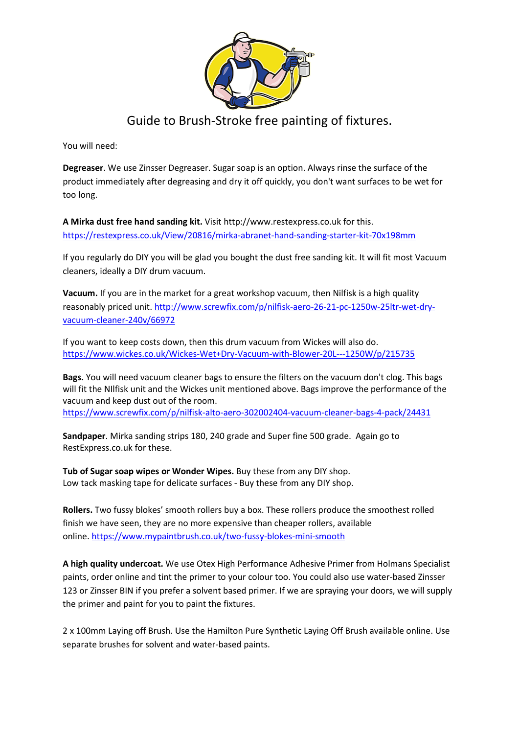

# Guide to Brush-Stroke free painting of fixtures.

You will need:

**Degreaser**. We use Zinsser Degreaser. Sugar soap is an option. Always rinse the surface of the product immediately after degreasing and dry it off quickly, you don't want surfaces to be wet for too long.

**A Mirka dust free hand sanding kit.** Visit http://www.restexpress.co.uk for this. <https://restexpress.co.uk/View/20816/mirka-abranet-hand-sanding-starter-kit-70x198mm>

If you regularly do DIY you will be glad you bought the dust free sanding kit. It will fit most Vacuum cleaners, ideally a DIY drum vacuum.

**Vacuum.** If you are in the market for a great workshop vacuum, then Nilfisk is a high quality reasonably priced unit. [http://www.screwfix.com/p/nilfisk-aero-26-21-pc-1250w-25ltr-wet-dry](http://www.screwfix.com/p/nilfisk-aero-26-21-pc-1250w-25ltr-wet-dry-vacuum-cleaner-240v/66972)[vacuum-cleaner-240v/66972](http://www.screwfix.com/p/nilfisk-aero-26-21-pc-1250w-25ltr-wet-dry-vacuum-cleaner-240v/66972)

If you want to keep costs down, then this drum vacuum from Wickes will also do. [https://www.wickes.co.uk/Wickes-Wet+Dry-Vacuum-with-Blower-20L---1250W/p/215735](https://www.wickes.co.uk/Wickes-Wet+Dry-Vacuum-with-Blower-20L---1250W/p/215735?utm_source=google&scid=scplp215735&sc_intid=215735&ds_rl=1255408&ds_rl=1255411&ds_rl=1256312&gclid=EAIaIQobChMI_O_f6qv65AIVCbrtCh3d5w3gEAQYAiABEgIl8vD_BwE&gclsrc=aw.ds)

**Bags.** You will need vacuum cleaner bags to ensure the filters on the vacuum don't clog. This bags will fit the NIlfisk unit and the Wickes unit mentioned above. Bags improve the performance of the vacuum and keep dust out of the room. <https://www.screwfix.com/p/nilfisk-alto-aero-302002404-vacuum-cleaner-bags-4-pack/24431>

**Sandpaper**. Mirka sanding strips 180, 240 grade and Super fine 500 grade. Again go to RestExpress.co.uk for these.

**Tub of Sugar soap wipes or Wonder Wipes.** Buy these from any DIY shop. Low tack masking tape for delicate surfaces - Buy these from any DIY shop.

**Rollers.** Two fussy blokes' smooth rollers buy a box. These rollers produce the smoothest rolled finish we have seen, they are no more expensive than cheaper rollers, available online. <https://www.mypaintbrush.co.uk/two-fussy-blokes-mini-smooth>

**A high quality undercoat.** We use Otex High Performance Adhesive Primer from Holmans Specialist paints, order online and tint the primer to your colour too. You could also use water-based Zinsser 123 or Zinsser BIN if you prefer a solvent based primer. If we are spraying your doors, we will supply the primer and paint for you to paint the fixtures.

2 x 100mm Laying off Brush. Use the Hamilton Pure Synthetic Laying Off Brush available online. Use separate brushes for solvent and water-based paints.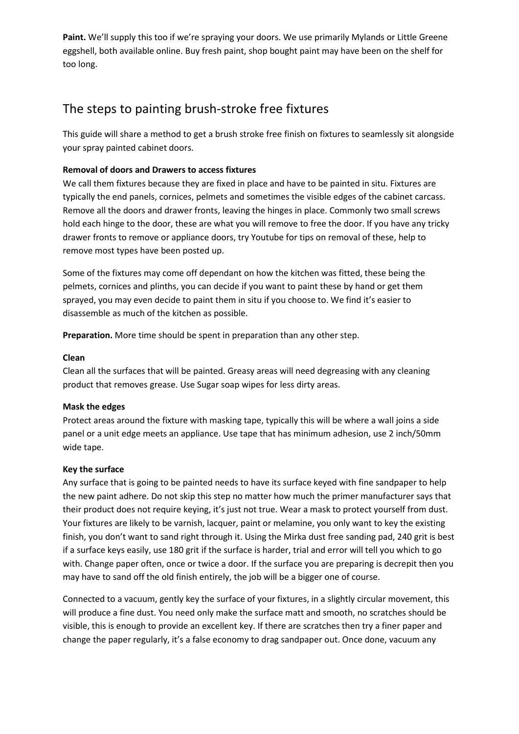**Paint.** We'll supply this too if we're spraying your doors. We use primarily Mylands or Little Greene eggshell, both available online. Buy fresh paint, shop bought paint may have been on the shelf for too long.

# The steps to painting brush-stroke free fixtures

This guide will share a method to get a brush stroke free finish on fixtures to seamlessly sit alongside your spray painted cabinet doors.

# **Removal of doors and Drawers to access fixtures**

We call them fixtures because they are fixed in place and have to be painted in situ. Fixtures are typically the end panels, cornices, pelmets and sometimes the visible edges of the cabinet carcass. Remove all the doors and drawer fronts, leaving the hinges in place. Commonly two small screws hold each hinge to the door, these are what you will remove to free the door. If you have any tricky drawer fronts to remove or appliance doors, try Youtube for tips on removal of these, help to remove most types have been posted up.

Some of the fixtures may come off dependant on how the kitchen was fitted, these being the pelmets, cornices and plinths, you can decide if you want to paint these by hand or get them sprayed, you may even decide to paint them in situ if you choose to. We find it's easier to disassemble as much of the kitchen as possible.

**Preparation.** More time should be spent in preparation than any other step.

## **Clean**

Clean all the surfaces that will be painted. Greasy areas will need degreasing with any cleaning product that removes grease. Use Sugar soap wipes for less dirty areas.

## **Mask the edges**

Protect areas around the fixture with masking tape, typically this will be where a wall joins a side panel or a unit edge meets an appliance. Use tape that has minimum adhesion, use 2 inch/50mm wide tape.

## **Key the surface**

Any surface that is going to be painted needs to have its surface keyed with fine sandpaper to help the new paint adhere. Do not skip this step no matter how much the primer manufacturer says that their product does not require keying, it's just not true. Wear a mask to protect yourself from dust. Your fixtures are likely to be varnish, lacquer, paint or melamine, you only want to key the existing finish, you don't want to sand right through it. Using the Mirka dust free sanding pad, 240 grit is best if a surface keys easily, use 180 grit if the surface is harder, trial and error will tell you which to go with. Change paper often, once or twice a door. If the surface you are preparing is decrepit then you may have to sand off the old finish entirely, the job will be a bigger one of course.

Connected to a vacuum, gently key the surface of your fixtures, in a slightly circular movement, this will produce a fine dust. You need only make the surface matt and smooth, no scratches should be visible, this is enough to provide an excellent key. If there are scratches then try a finer paper and change the paper regularly, it's a false economy to drag sandpaper out. Once done, vacuum any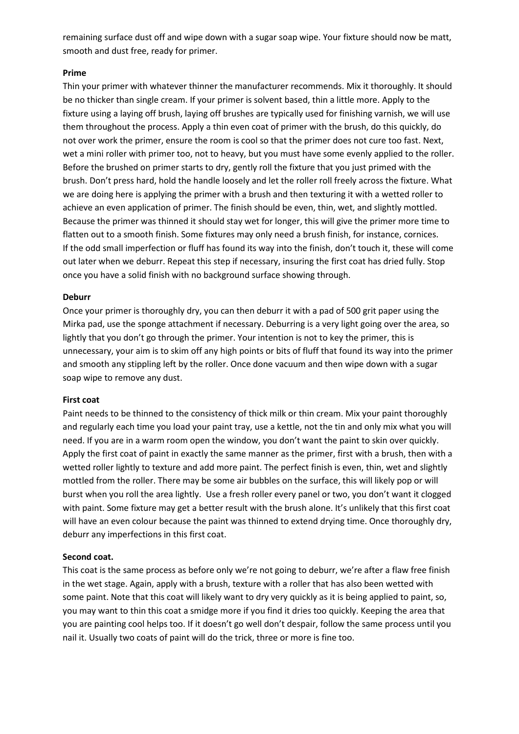remaining surface dust off and wipe down with a sugar soap wipe. Your fixture should now be matt, smooth and dust free, ready for primer.

#### **Prime**

Thin your primer with whatever thinner the manufacturer recommends. Mix it thoroughly. It should be no thicker than single cream. If your primer is solvent based, thin a little more. Apply to the fixture using a laying off brush, laying off brushes are typically used for finishing varnish, we will use them throughout the process. Apply a thin even coat of primer with the brush, do this quickly, do not over work the primer, ensure the room is cool so that the primer does not cure too fast. Next, wet a mini roller with primer too, not to heavy, but you must have some evenly applied to the roller. Before the brushed on primer starts to dry, gently roll the fixture that you just primed with the brush. Don't press hard, hold the handle loosely and let the roller roll freely across the fixture. What we are doing here is applying the primer with a brush and then texturing it with a wetted roller to achieve an even application of primer. The finish should be even, thin, wet, and slightly mottled. Because the primer was thinned it should stay wet for longer, this will give the primer more time to flatten out to a smooth finish. Some fixtures may only need a brush finish, for instance, cornices. If the odd small imperfection or fluff has found its way into the finish, don't touch it, these will come out later when we deburr. Repeat this step if necessary, insuring the first coat has dried fully. Stop once you have a solid finish with no background surface showing through.

#### **Deburr**

Once your primer is thoroughly dry, you can then deburr it with a pad of 500 grit paper using the Mirka pad, use the sponge attachment if necessary. Deburring is a very light going over the area, so lightly that you don't go through the primer. Your intention is not to key the primer, this is unnecessary, your aim is to skim off any high points or bits of fluff that found its way into the primer and smooth any stippling left by the roller. Once done vacuum and then wipe down with a sugar soap wipe to remove any dust.

#### **First coat**

Paint needs to be thinned to the consistency of thick milk or thin cream. Mix your paint thoroughly and regularly each time you load your paint tray, use a kettle, not the tin and only mix what you will need. If you are in a warm room open the window, you don't want the paint to skin over quickly. Apply the first coat of paint in exactly the same manner as the primer, first with a brush, then with a wetted roller lightly to texture and add more paint. The perfect finish is even, thin, wet and slightly mottled from the roller. There may be some air bubbles on the surface, this will likely pop or will burst when you roll the area lightly. Use a fresh roller every panel or two, you don't want it clogged with paint. Some fixture may get a better result with the brush alone. It's unlikely that this first coat will have an even colour because the paint was thinned to extend drying time. Once thoroughly dry, deburr any imperfections in this first coat.

## **Second coat.**

This coat is the same process as before only we're not going to deburr, we're after a flaw free finish in the wet stage. Again, apply with a brush, texture with a roller that has also been wetted with some paint. Note that this coat will likely want to dry very quickly as it is being applied to paint, so, you may want to thin this coat a smidge more if you find it dries too quickly. Keeping the area that you are painting cool helps too. If it doesn't go well don't despair, follow the same process until you nail it. Usually two coats of paint will do the trick, three or more is fine too.